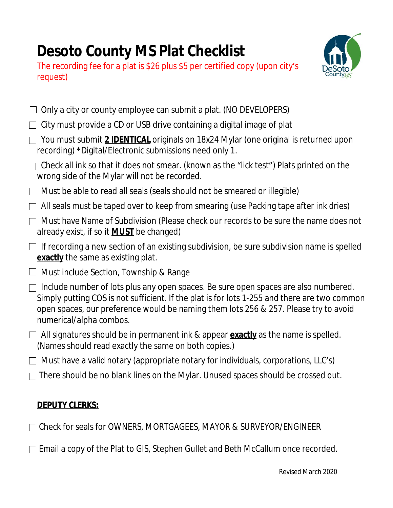## **Desoto County MS Plat Checklist**





| Only a city or county employee can submit a plat. (NO DEVELOPERS)                                                                                                                                                                                                                                      |
|--------------------------------------------------------------------------------------------------------------------------------------------------------------------------------------------------------------------------------------------------------------------------------------------------------|
| City must provide a CD or USB drive containing a digital image of plat                                                                                                                                                                                                                                 |
| You must submit 2 <b>IDENTICAL</b> originals on 18x24 Mylar (one original is returned upon<br>recording) *Digital/Electronic submissions need only 1.                                                                                                                                                  |
| Check all ink so that it does not smear. (known as the "lick test") Plats printed on the<br>wrong side of the Mylar will not be recorded.                                                                                                                                                              |
| Must be able to read all seals (seals should not be smeared or illegible)                                                                                                                                                                                                                              |
| All seals must be taped over to keep from smearing (use Packing tape after ink dries)                                                                                                                                                                                                                  |
| Must have Name of Subdivision (Please check our records to be sure the name does not<br>$\Box$<br>already exist, if so it <b>MUST</b> be changed)                                                                                                                                                      |
| $\Box$ If recording a new section of an existing subdivision, be sure subdivision name is spelled<br><b>exactly</b> the same as existing plat.                                                                                                                                                         |
| $\Box$ Must include Section, Township & Range                                                                                                                                                                                                                                                          |
| Include number of lots plus any open spaces. Be sure open spaces are also numbered.<br>Simply putting COS is not sufficient. If the plat is for lots 1-255 and there are two common<br>open spaces, our preference would be naming them lots 256 & 257. Please try to avoid<br>numerical/alpha combos. |
| $\Box$ All signatures should be in permanent ink & appear <b>exactly</b> as the name is spelled.<br>(Names should read exactly the same on both copies.)                                                                                                                                               |
| $\Box$ Must have a valid notary (appropriate notary for individuals, corporations, LLC's)                                                                                                                                                                                                              |
| There should be no blank lines on the Mylar. Unused spaces should be crossed out.                                                                                                                                                                                                                      |
|                                                                                                                                                                                                                                                                                                        |

## **DEPUTY CLERKS:**

Check for seals for OWNERS, MORTGAGEES, MAYOR & SURVEYOR/ENGINEER

□ Email a copy of the Plat to GIS, Stephen Gullet and Beth McCallum once recorded.